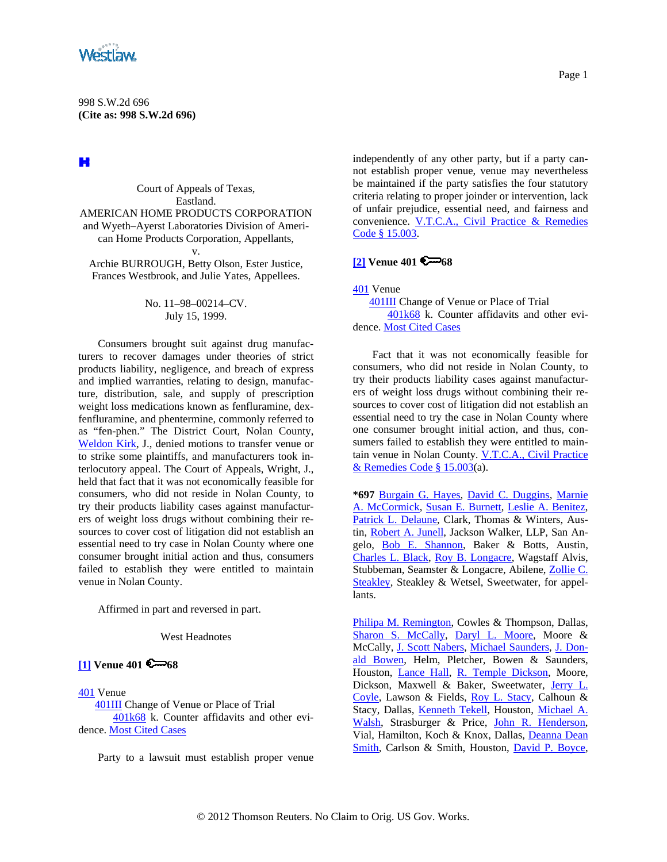<span id="page-0-0"></span>

H

Court of Appeals of Texas, Eastland. AMERICAN HOME PRODUCTS CORPORATION and Wyeth–Ayerst Laboratories Division of American Home Products Corporation, Appellants, v. Archie BURROUGH, Betty Olson, Ester Justice,

Frances Westbrook, and Julie Yates, Appellees.

# No. 11–98–00214–CV. July 15, 1999.

Consumers brought suit against drug manufacturers to recover damages under theories of strict products liability, negligence, and breach of express and implied warranties, relating to design, manufacture, distribution, sale, and supply of prescription weight loss medications known as fenfluramine, dexfenfluramine, and phentermine, commonly referred to as "fen-phen." The District Court, Nolan County, [Weldon Kirk](http://www.westlaw.com/Find/Default.wl?rs=dfa1.0&vr=2.0&DB=PROFILER-WLD&DocName=0151210701&FindType=h), J., denied motions to transfer venue or to strike some plaintiffs, and manufacturers took interlocutory appeal. The Court of Appeals, Wright, J., held that fact that it was not economically feasible for consumers, who did not reside in Nolan County, to try their products liability cases against manufacturers of weight loss drugs without combining their resources to cover cost of litigation did not establish an essential need to try case in Nolan County where one consumer brought initial action and thus, consumers failed to establish they were entitled to maintain venue in Nolan County.

Affirmed in part and reversed in part.

West Headnotes

## **[\[1\]](#page-1-0) Venue 401 68**

[401](http://www.westlaw.com/KeyNumber/Default.wl?rs=dfa1.0&vr=2.0&CMD=KEY&DocName=401) Venue

 [401III](http://www.westlaw.com/KeyNumber/Default.wl?rs=dfa1.0&vr=2.0&CMD=KEY&DocName=401III) Change of Venue or Place of Trial [401k68](http://www.westlaw.com/KeyNumber/Default.wl?rs=dfa1.0&vr=2.0&CMD=KEY&DocName=401k68) k. Counter affidavits and other evidence. [Most Cited Cases](http://www.westlaw.com/Digest/Default.wl?rs=dfa1.0&vr=2.0&CMD=MCC&DocName=401k68)

Party to a lawsuit must establish proper venue

independently of any other party, but if a party cannot establish proper venue, venue may nevertheless be maintained if the party satisfies the four statutory criteria relating to proper joinder or intervention, lack of unfair prejudice, essential need, and fairness and convenience. [V.T.C.A., Civil Practice & Remedies](http://www.westlaw.com/Find/Default.wl?rs=dfa1.0&vr=2.0&DB=1000170&DocName=TXCPS15.003&FindType=L)  [Code § 15.003.](http://www.westlaw.com/Find/Default.wl?rs=dfa1.0&vr=2.0&DB=1000170&DocName=TXCPS15.003&FindType=L)

## **[\[2\]](#page-2-0) Venue 401 6 68**

[401](http://www.westlaw.com/KeyNumber/Default.wl?rs=dfa1.0&vr=2.0&CMD=KEY&DocName=401) Venue

 [401III](http://www.westlaw.com/KeyNumber/Default.wl?rs=dfa1.0&vr=2.0&CMD=KEY&DocName=401III) Change of Venue or Place of Trial [401k68](http://www.westlaw.com/KeyNumber/Default.wl?rs=dfa1.0&vr=2.0&CMD=KEY&DocName=401k68) k. Counter affidavits and other evidence. [Most Cited Cases](http://www.westlaw.com/Digest/Default.wl?rs=dfa1.0&vr=2.0&CMD=MCC&DocName=401k68)

Fact that it was not economically feasible for consumers, who did not reside in Nolan County, to try their products liability cases against manufacturers of weight loss drugs without combining their resources to cover cost of litigation did not establish an essential need to try the case in Nolan County where one consumer brought initial action, and thus, consumers failed to establish they were entitled to maintain venue in Nolan County. [V.T.C.A., Civil Practice](http://www.westlaw.com/Find/Default.wl?rs=dfa1.0&vr=2.0&DB=1000170&DocName=TXCPS15.003&FindType=L)  [& Remedies Code § 15.003\(](http://www.westlaw.com/Find/Default.wl?rs=dfa1.0&vr=2.0&DB=1000170&DocName=TXCPS15.003&FindType=L)a).

**\*697** [Burgain G. Hayes,](http://www.westlaw.com/Find/Default.wl?rs=dfa1.0&vr=2.0&DB=PROFILER-WLD&DocName=0159477001&FindType=h) [David C. Duggins,](http://www.westlaw.com/Find/Default.wl?rs=dfa1.0&vr=2.0&DB=PROFILER-WLD&DocName=0114658301&FindType=h) [Marnie](http://www.westlaw.com/Find/Default.wl?rs=dfa1.0&vr=2.0&DB=PROFILER-WLD&DocName=0321082601&FindType=h)  [A. McCormick](http://www.westlaw.com/Find/Default.wl?rs=dfa1.0&vr=2.0&DB=PROFILER-WLD&DocName=0321082601&FindType=h), [Susan E. Burnett](http://www.westlaw.com/Find/Default.wl?rs=dfa1.0&vr=2.0&DB=PROFILER-WLD&DocName=0159799201&FindType=h), [Leslie A. Benitez](http://www.westlaw.com/Find/Default.wl?rs=dfa1.0&vr=2.0&DB=PROFILER-WLD&DocName=0106174301&FindType=h), [Patrick L. Delaune,](http://www.westlaw.com/Find/Default.wl?rs=dfa1.0&vr=2.0&DB=PROFILER-WLD&DocName=0321082001&FindType=h) Clark, Thomas & Winters, Austin, [Robert A. Junell](http://www.westlaw.com/Find/Default.wl?rs=dfa1.0&vr=2.0&DB=PROFILER-WLD&DocName=0283889501&FindType=h), Jackson Walker, LLP, San Angelo, [Bob E. Shannon](http://www.westlaw.com/Find/Default.wl?rs=dfa1.0&vr=2.0&DB=PROFILER-WLD&DocName=0330226601&FindType=h), Baker & Botts, Austin, [Charles L. Black](http://www.westlaw.com/Find/Default.wl?rs=dfa1.0&vr=2.0&DB=PROFILER-WLD&DocName=0190872101&FindType=h), [Roy B. Longacre,](http://www.westlaw.com/Find/Default.wl?rs=dfa1.0&vr=2.0&DB=PROFILER-WLD&DocName=0103460401&FindType=h) Wagstaff Alvis, Stubbeman, Seamster & Longacre, Abilene, [Zollie C.](http://www.westlaw.com/Find/Default.wl?rs=dfa1.0&vr=2.0&DB=PROFILER-WLD&DocName=0320183601&FindType=h)  [Steakley](http://www.westlaw.com/Find/Default.wl?rs=dfa1.0&vr=2.0&DB=PROFILER-WLD&DocName=0320183601&FindType=h), Steakley & Wetsel, Sweetwater, for appellants.

[Philipa M. Remington](http://www.westlaw.com/Find/Default.wl?rs=dfa1.0&vr=2.0&DB=PROFILER-WLD&DocName=0341679501&FindType=h), Cowles & Thompson, Dallas, [Sharon S. McCally,](http://www.westlaw.com/Find/Default.wl?rs=dfa1.0&vr=2.0&DB=PROFILER-WLD&DocName=0136034301&FindType=h) [Daryl L. Moore,](http://www.westlaw.com/Find/Default.wl?rs=dfa1.0&vr=2.0&DB=PROFILER-WLD&DocName=0291281601&FindType=h) Moore & McCally, [J. Scott Nabers](http://www.westlaw.com/Find/Default.wl?rs=dfa1.0&vr=2.0&DocName=0319611301&FindType=h), [Michael Saunders](http://www.westlaw.com/Find/Default.wl?rs=dfa1.0&vr=2.0&DB=PROFILER-WLD&DocName=0205687401&FindType=h), [J. Don](http://www.westlaw.com/Find/Default.wl?rs=dfa1.0&vr=2.0&DB=PROFILER-WLD&DocName=0207722901&FindType=h)[ald Bowen,](http://www.westlaw.com/Find/Default.wl?rs=dfa1.0&vr=2.0&DB=PROFILER-WLD&DocName=0207722901&FindType=h) Helm, Pletcher, Bowen & Saunders, Houston, [Lance Hall](http://www.westlaw.com/Find/Default.wl?rs=dfa1.0&vr=2.0&DB=PROFILER-WLD&DocName=0275898101&FindType=h), [R. Temple Dickson](http://www.westlaw.com/Find/Default.wl?rs=dfa1.0&vr=2.0&DB=PROFILER-WLD&DocName=0246650901&FindType=h), Moore, Dickson, Maxwell & Baker, Sweetwater, Jerry L. [Coyle,](http://www.westlaw.com/Find/Default.wl?rs=dfa1.0&vr=2.0&DB=PROFILER-WLD&DocName=0188169301&FindType=h) Lawson & Fields, [Roy L. Stacy,](http://www.westlaw.com/Find/Default.wl?rs=dfa1.0&vr=2.0&DB=PROFILER-WLD&DocName=0165581901&FindType=h) Calhoun & Stacy, Dallas, [Kenneth Tekell](http://www.westlaw.com/Find/Default.wl?rs=dfa1.0&vr=2.0&DB=PROFILER-WLD&DocName=0218201801&FindType=h), Houston, [Michael A.](http://www.westlaw.com/Find/Default.wl?rs=dfa1.0&vr=2.0&DB=PROFILER-WLD&DocName=0218218101&FindType=h)  [Walsh,](http://www.westlaw.com/Find/Default.wl?rs=dfa1.0&vr=2.0&DB=PROFILER-WLD&DocName=0218218101&FindType=h) Strasburger & Price, [John R. Henderson,](http://www.westlaw.com/Find/Default.wl?rs=dfa1.0&vr=2.0&DB=PROFILER-WLD&DocName=0153943901&FindType=h) Vial, Hamilton, Koch & Knox, Dallas, [Deanna Dean](http://www.westlaw.com/Find/Default.wl?rs=dfa1.0&vr=2.0&DB=PROFILER-WLD&DocName=0214134801&FindType=h)  [Smith,](http://www.westlaw.com/Find/Default.wl?rs=dfa1.0&vr=2.0&DB=PROFILER-WLD&DocName=0214134801&FindType=h) Carlson & Smith, Houston, [David P. Boyce,](http://www.westlaw.com/Find/Default.wl?rs=dfa1.0&vr=2.0&DB=PROFILER-WLD&DocName=0102662601&FindType=h)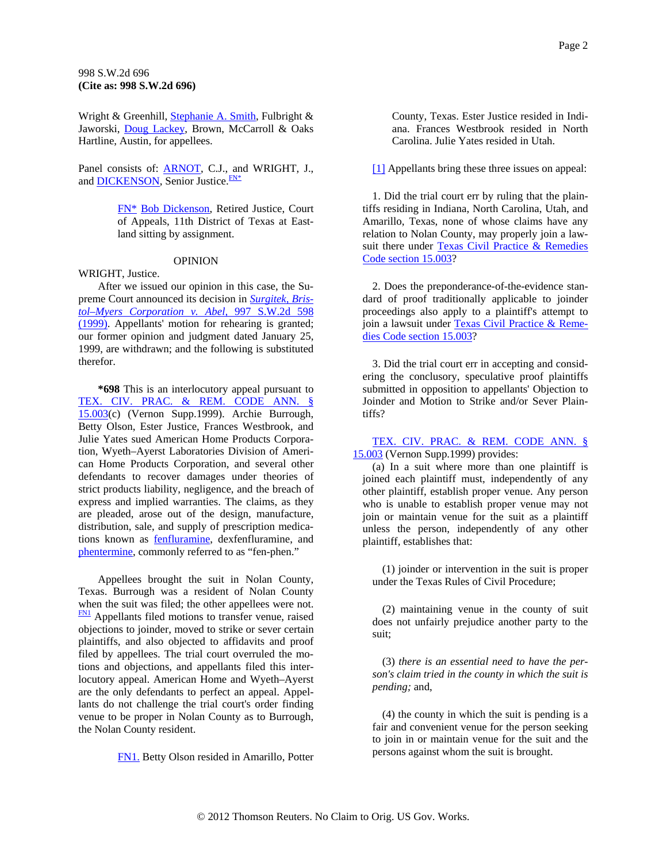### <span id="page-1-0"></span>998 S.W.2d 696 **(Cite as: 998 S.W.2d 696)**

Wright & Greenhill, [Stephanie A. Smith](http://www.westlaw.com/Find/Default.wl?rs=dfa1.0&vr=2.0&DB=PROFILER-WLD&DocName=0100202401&FindType=h), Fulbright & Jaworski, [Doug Lackey,](http://www.westlaw.com/Find/Default.wl?rs=dfa1.0&vr=2.0&DB=PROFILER-WLD&DocName=0328184201&FindType=h) Brown, McCarroll & Oaks Hartline, Austin, for appellees.

Panel consists of: [ARNOT](http://www.westlaw.com/Find/Default.wl?rs=dfa1.0&vr=2.0&DB=PROFILER-WLD&DocName=0154022301&FindType=h), C.J., a[nd](#page-1-0) WRIGHT, J., and **DICKENSON**, Senior Justice.<sup>FN\*</sup>

> [FN\\*](#page-1-0) [Bob Dickenson,](http://www.westlaw.com/Find/Default.wl?rs=dfa1.0&vr=2.0&DB=PROFILER-WLD&DocName=0219085801&FindType=h) Retired Justice, Court of Appeals, 11th District of Texas at Eastland sitting by assignment.

#### OPINION

WRIGHT, Justice.

After we issued our opinion in this case, the Supreme Court announced its decision in *[Surgitek, Bris](http://www.westlaw.com/Find/Default.wl?rs=dfa1.0&vr=2.0&DB=713&FindType=Y&SerialNum=1999157598)[tol–Myers Corporation v. Abel,](http://www.westlaw.com/Find/Default.wl?rs=dfa1.0&vr=2.0&DB=713&FindType=Y&SerialNum=1999157598)* [997 S.W.2d 598](http://www.westlaw.com/Find/Default.wl?rs=dfa1.0&vr=2.0&DB=713&FindType=Y&SerialNum=1999157598)  [\(1999\).](http://www.westlaw.com/Find/Default.wl?rs=dfa1.0&vr=2.0&DB=713&FindType=Y&SerialNum=1999157598) Appellants' motion for rehearing is granted; our former opinion and judgment dated January 25, 1999, are withdrawn; and the following is substituted therefor.

**\*698** This is an interlocutory appeal pursuant to [TEX. CIV. PRAC. & REM. CODE ANN. §](http://www.westlaw.com/Find/Default.wl?rs=dfa1.0&vr=2.0&DB=1000170&DocName=TXCPS15.003&FindType=L) [15.003](http://www.westlaw.com/Find/Default.wl?rs=dfa1.0&vr=2.0&DB=1000170&DocName=TXCPS15.003&FindType=L)(c) (Vernon Supp.1999). Archie Burrough, Betty Olson, Ester Justice, Frances Westbrook, and Julie Yates sued American Home Products Corporation, Wyeth–Ayerst Laboratories Division of American Home Products Corporation, and several other defendants to recover damages under theories of strict products liability, negligence, and the breach of express and implied warranties. The claims, as they are pleaded, arose out of the design, manufacture, distribution, sale, and supply of prescription medications known as [fenfluramine,](http://www.westlaw.com/Find/Default.wl?rs=dfa1.0&vr=2.0&CMD=ML&DocName=I3ba6c5dd475111db9765f9243f53508a&FindType=GD) dexfenfluramine, and [phentermine,](http://www.westlaw.com/Find/Default.wl?rs=dfa1.0&vr=2.0&CMD=ML&DocName=I3ab316f2475111db9765f9243f53508a&FindType=GD) commonly referred to as "fen-phen."

Appellees brought the suit in Nolan County, Texas. Burrough was a resident of Nolan County when the suit was filed; the other appellees were not. **FN1** Appellants filed motions to transfer venue, raised objections to joinder, moved to strike or sever certain plaintiffs, and also objected to affidavits and proof filed by appellees. The trial court overruled the motions and objections, and appellants filed this interlocutory appeal. American Home and Wyeth–Ayerst are the only defendants to perfect an appeal. Appellants do not challenge the trial court's order finding venue to be proper in Nolan County as to Burrough, the Nolan County resident.

[FN1.](#page-1-0) Betty Olson resided in Amarillo, Potter

County, Texas. Ester Justice resided in Indiana. Frances Westbrook resided in North Carolina. Julie Yates resided in Utah.

[\[1\]](#page-0-0) Appellants bring these three issues on appeal:

1. Did the trial court err by ruling that the plaintiffs residing in Indiana, North Carolina, Utah, and Amarillo, Texas, none of whose claims have any relation to Nolan County, may properly join a lawsuit there under [Texas Civil Practice & Remedies](http://www.westlaw.com/Find/Default.wl?rs=dfa1.0&vr=2.0&DB=1000170&DocName=TXCPS15.003&FindType=L)  [Code section 15.003?](http://www.westlaw.com/Find/Default.wl?rs=dfa1.0&vr=2.0&DB=1000170&DocName=TXCPS15.003&FindType=L)

2. Does the preponderance-of-the-evidence standard of proof traditionally applicable to joinder proceedings also apply to a plaintiff's attempt to join a lawsuit under [Texas Civil Practice & Reme](http://www.westlaw.com/Find/Default.wl?rs=dfa1.0&vr=2.0&DB=1000170&DocName=TXCPS15.003&FindType=L)[dies Code section 15.003?](http://www.westlaw.com/Find/Default.wl?rs=dfa1.0&vr=2.0&DB=1000170&DocName=TXCPS15.003&FindType=L)

3. Did the trial court err in accepting and considering the conclusory, speculative proof plaintiffs submitted in opposition to appellants' Objection to Joinder and Motion to Strike and/or Sever Plaintiffs?

[TEX. CIV. PRAC. & REM. CODE ANN. §](http://www.westlaw.com/Find/Default.wl?rs=dfa1.0&vr=2.0&DB=1000170&DocName=TXCPS15.003&FindType=L)  [15.003](http://www.westlaw.com/Find/Default.wl?rs=dfa1.0&vr=2.0&DB=1000170&DocName=TXCPS15.003&FindType=L) (Vernon Supp.1999) provides:

(a) In a suit where more than one plaintiff is joined each plaintiff must, independently of any other plaintiff, establish proper venue. Any person who is unable to establish proper venue may not join or maintain venue for the suit as a plaintiff unless the person, independently of any other plaintiff, establishes that:

(1) joinder or intervention in the suit is proper under the Texas Rules of Civil Procedure;

(2) maintaining venue in the county of suit does not unfairly prejudice another party to the suit;

(3) *there is an essential need to have the person's claim tried in the county in which the suit is pending;* and,

(4) the county in which the suit is pending is a fair and convenient venue for the person seeking to join in or maintain venue for the suit and the persons against whom the suit is brought.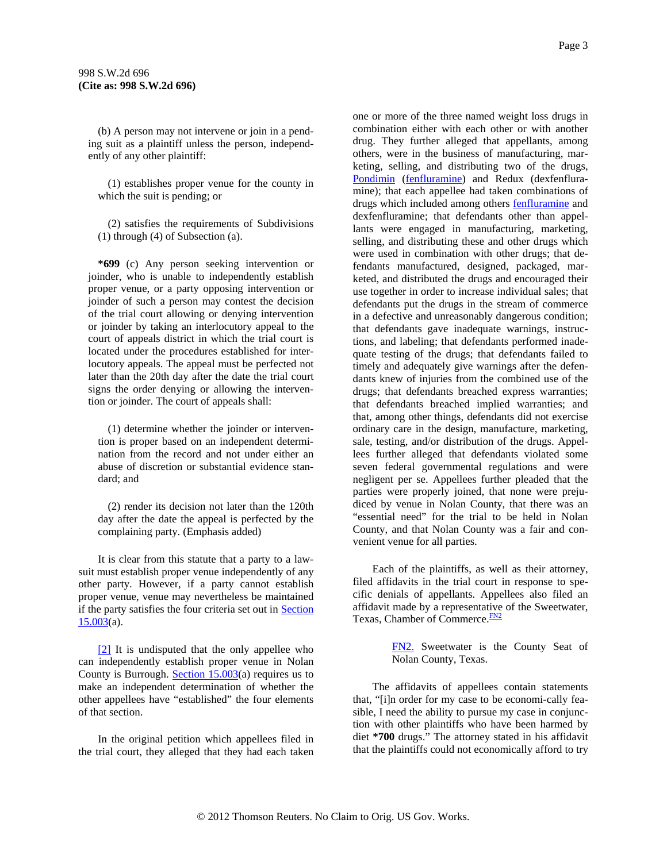<span id="page-2-0"></span>(b) A person may not intervene or join in a pending suit as a plaintiff unless the person, independently of any other plaintiff:

(1) establishes proper venue for the county in which the suit is pending; or

(2) satisfies the requirements of Subdivisions (1) through (4) of Subsection (a).

**\*699** (c) Any person seeking intervention or joinder, who is unable to independently establish proper venue, or a party opposing intervention or joinder of such a person may contest the decision of the trial court allowing or denying intervention or joinder by taking an interlocutory appeal to the court of appeals district in which the trial court is located under the procedures established for interlocutory appeals. The appeal must be perfected not later than the 20th day after the date the trial court signs the order denying or allowing the intervention or joinder. The court of appeals shall:

(1) determine whether the joinder or intervention is proper based on an independent determination from the record and not under either an abuse of discretion or substantial evidence standard; and

(2) render its decision not later than the 120th day after the date the appeal is perfected by the complaining party. (Emphasis added)

It is clear from this statute that a party to a lawsuit must establish proper venue independently of any other party. However, if a party cannot establish proper venue, venue may nevertheless be maintained if the party satisfies the four criteria set out in [Section](http://www.westlaw.com/Find/Default.wl?rs=dfa1.0&vr=2.0&DB=1000170&DocName=TXCPS15.003&FindType=L)   $15.003(a)$  $15.003(a)$ .

[\[2\]](#page-0-0) It is undisputed that the only appellee who can independently establish proper venue in Nolan County is Burrough. Section  $15.003(a)$  requires us to make an independent determination of whether the other appellees have "established" the four elements of that section.

In the original petition which appellees filed in the trial court, they alleged that they had each taken one or more of the three named weight loss drugs in combination either with each other or with another drug. They further alleged that appellants, among others, were in the business of manufacturing, marketing, selling, and distributing two of the drugs, [Pondimin](http://www.westlaw.com/Find/Default.wl?rs=dfa1.0&vr=2.0&CMD=ML&DocName=I3773f1e5475111db9765f9243f53508a&FindType=BD) ([fenfluramine](http://www.westlaw.com/Find/Default.wl?rs=dfa1.0&vr=2.0&CMD=ML&DocName=I3ba6c5dd475111db9765f9243f53508a&FindType=GD)) and Redux (dexfenfluramine); that each appellee had taken combinations of drugs which included among others [fenfluramine](http://www.westlaw.com/Find/Default.wl?rs=dfa1.0&vr=2.0&CMD=ML&DocName=I3ba6c5dd475111db9765f9243f53508a&FindType=GD) and dexfenfluramine; that defendants other than appellants were engaged in manufacturing, marketing, selling, and distributing these and other drugs which were used in combination with other drugs; that defendants manufactured, designed, packaged, marketed, and distributed the drugs and encouraged their use together in order to increase individual sales; that defendants put the drugs in the stream of commerce in a defective and unreasonably dangerous condition; that defendants gave inadequate warnings, instructions, and labeling; that defendants performed inadequate testing of the drugs; that defendants failed to timely and adequately give warnings after the defendants knew of injuries from the combined use of the drugs; that defendants breached express warranties; that defendants breached implied warranties; and that, among other things, defendants did not exercise ordinary care in the design, manufacture, marketing, sale, testing, and/or distribution of the drugs. Appellees further alleged that defendants violated some seven federal governmental regulations and were negligent per se. Appellees further pleaded that the parties were properly joined, that none were prejudiced by venue in Nolan County, that there was an "essential need" for the trial to be held in Nolan County, and that Nolan County was a fair and convenient venue for all parties.

Each of the plaintiffs, as well as their attorney, filed affidavits in the trial court in response to specific denials of appellants. Appellees also filed an affidavit made by a representativ[e](#page-2-0) of the Sweetwater, Texas, Chamber of Commerce.<sup>[FN2](#page-2-0)</sup>

> [FN2.](#page-2-0) Sweetwater is the County Seat of Nolan County, Texas.

The affidavits of appellees contain statements that, "[i]n order for my case to be economi-cally feasible, I need the ability to pursue my case in conjunction with other plaintiffs who have been harmed by diet **\*700** drugs." The attorney stated in his affidavit that the plaintiffs could not economically afford to try